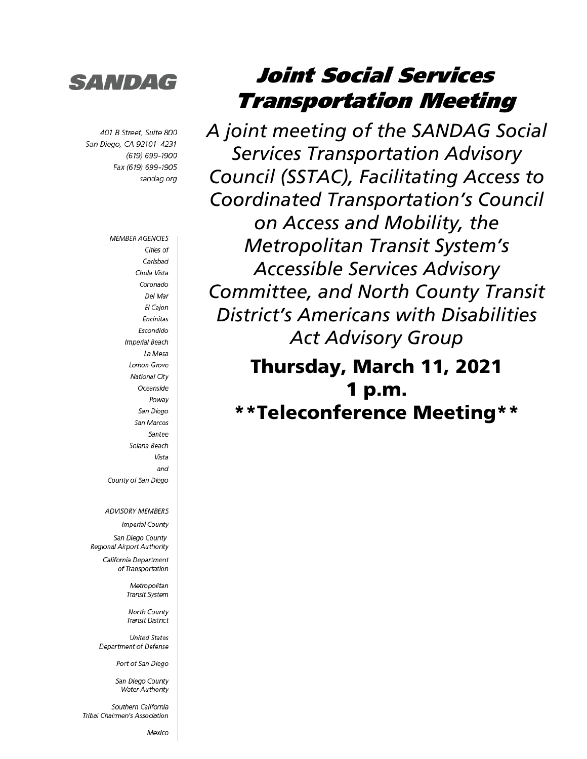

401 B Street, Suite 800 San Diego, CA 92101-4231 (619) 699-1900 Fax (619) 699-1905 sandag.org

> **MEMBER AGENCIES** Cities of Carlsbad Chula Vista Coronado Del Mar El Cajon Encinitas Escondido **Imperial Beach** La Mesa Lemon Grove **National City** Oceanside Powav San Diego San Marcos Santee Solana Beach Vista and County of San Diego

**ADVISORY MEMBERS** 

**Imperial County** 

San Diego County Regional Airport Authority

> California Department of Transportation

> > Metropolitan Transit System

North County Transit District

**United States** Department of Defense

Port of San Diego

San Diego County **Water Authority** 

Southern California Tribal Chairmen's Association

Mexico

# Joint Social Services Transportation Meeting

*A joint meeting of the SANDAG Social Services Transportation Advisory Council (SSTAC), Facilitating Access to Coordinated Transportation's Council on Access and Mobility, the Metropolitan Transit System's Accessible Services Advisory Committee, and North County Transit District's Americans with Disabilities Act Advisory Group*

Thursday, March 11, 2021 1 p.m. \*\*Teleconference Meeting\*\*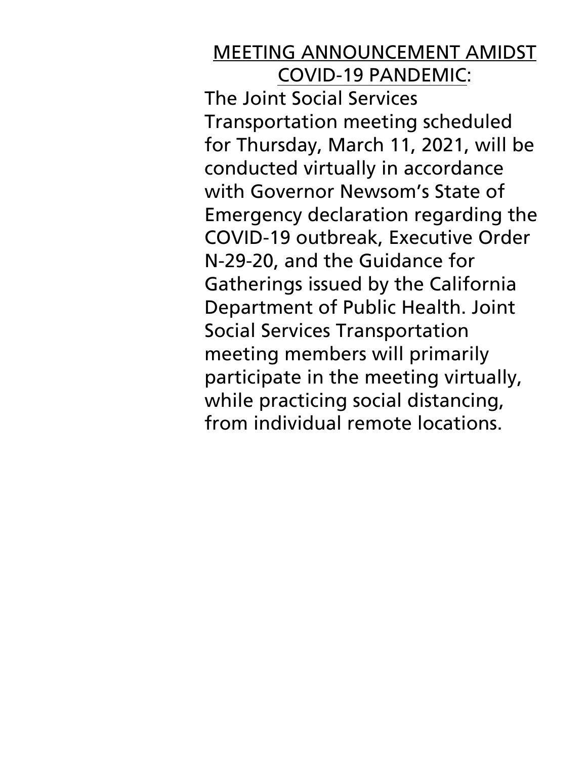### MEETING ANNOUNCEMENT AMIDST COVID-19 PANDEMIC:

The Joint Social Services Transportation meeting scheduled for Thursday, March 11, 2021, will be conducted virtually in accordance with Governor Newsom's State of Emergency declaration regarding the COVID-19 outbreak, Executive Order N-29-20, and the Guidance for Gatherings issued by the California Department of Public Health. Joint Social Services Transportation meeting members will primarily participate in the meeting virtually, while practicing social distancing, from individual remote locations.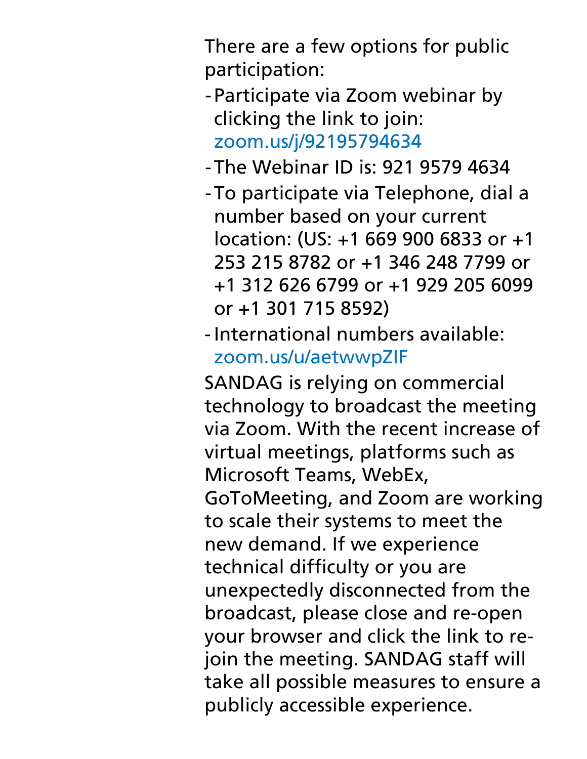There are a few options for public participation:

- -Participate via Zoom webinar by clicking the link to join: [zoom.us/j/92195794634](https://zoom.us/j/92195794634)
- -The Webinar ID is: 921 9579 4634
- -To participate via Telephone, dial a number based on your current location: (US: +1 669 900 6833 or +1 253 215 8782 or +1 346 248 7799 or +1 312 626 6799 or +1 929 205 6099 or +1 301 715 8592)
- International numbers available: [zoom.us/u/aetwwpZIF](https://zoom.us/u/aetwwpZIF)

SANDAG is relying on commercial technology to broadcast the meeting via Zoom. With the recent increase of virtual meetings, platforms such as Microsoft Teams, WebEx, GoToMeeting, and Zoom are working to scale their systems to meet the new demand. If we experience technical difficulty or you are unexpectedly disconnected from the broadcast, please close and re-open your browser and click the link to rejoin the meeting. SANDAG staff will take all possible measures to ensure a publicly accessible experience.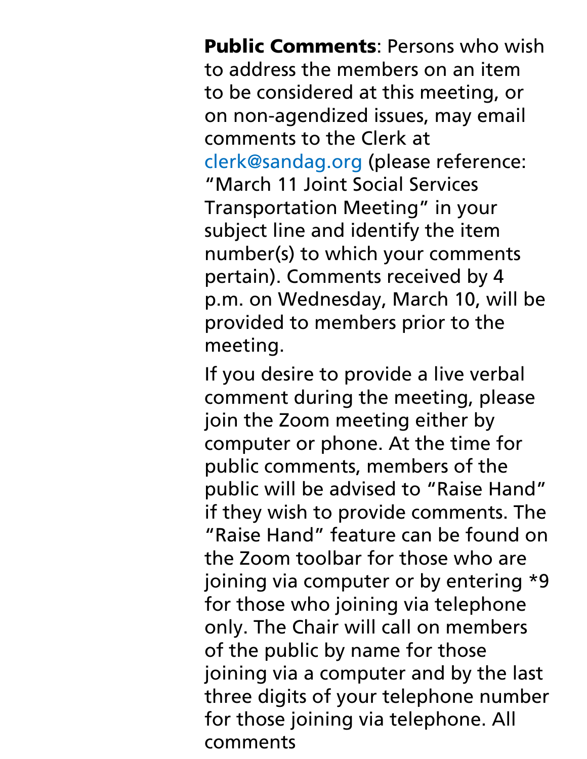**Public Comments: Persons who wish** to address the members on an item to be considered at this meeting, or on non-agendized issues, may email comments to the Clerk at clerk@sandag.org (please reference: "March 11 Joint Social Services Transportation Meeting" in your subject line and identify the item number(s) to which your comments pertain). Comments received by 4 p.m. on Wednesday, March 10, will be provided to members prior to the meeting.

If you desire to provide a live verbal comment during the meeting, please join the Zoom meeting either by computer or phone. At the time for public comments, members of the public will be advised to "Raise Hand" if they wish to provide comments. The "Raise Hand" feature can be found on the Zoom toolbar for those who are joining via computer or by entering \*9 for those who joining via telephone only. The Chair will call on members of the public by name for those joining via a computer and by the last three digits of your telephone number for those joining via telephone. All comments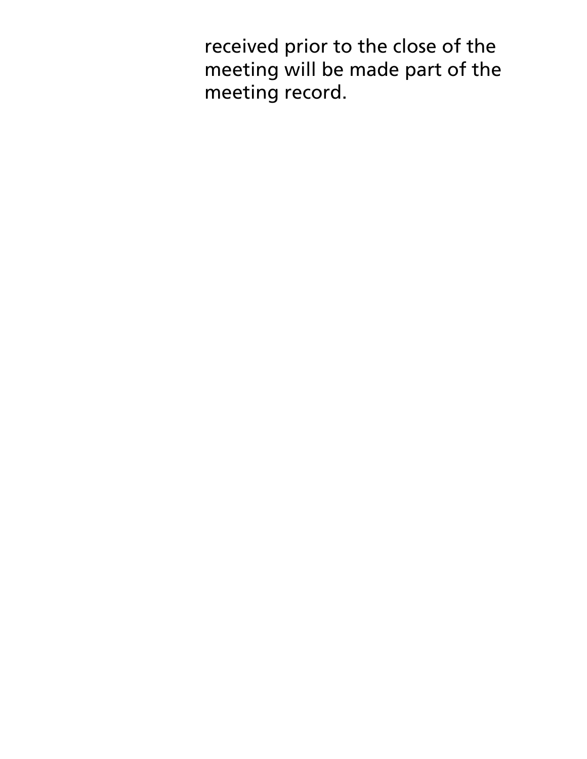received prior to the close of the meeting will be made part of the meeting record.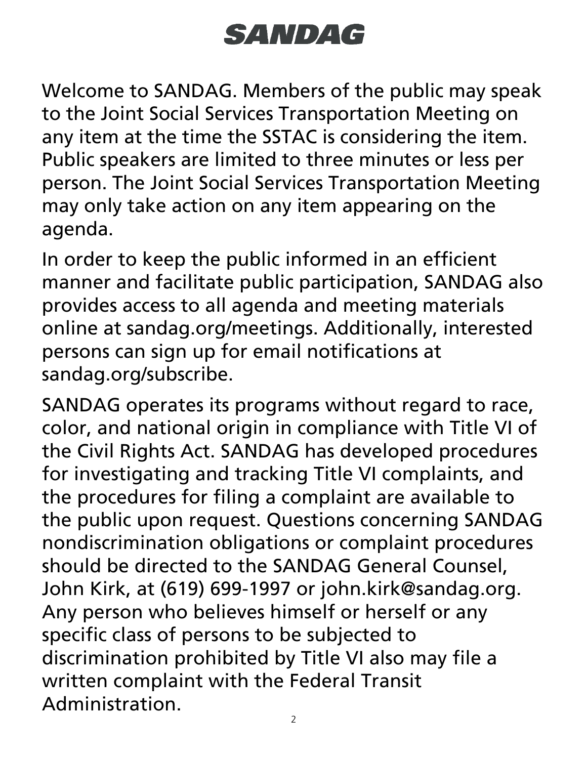# **SANDAG**

Welcome to SANDAG. Members of the public may speak to the Joint Social Services Transportation Meeting on any item at the time the SSTAC is considering the item. Public speakers are limited to three minutes or less per person. The Joint Social Services Transportation Meeting may only take action on any item appearing on the agenda.

In order to keep the public informed in an efficient manner and facilitate public participation, SANDAG also provides access to all agenda and meeting materials online at sandag.org/meetings. Additionally, interested persons can sign up for email notifications at sandag.org/subscribe.

SANDAG operates its programs without regard to race, color, and national origin in compliance with Title VI of the Civil Rights Act. SANDAG has developed procedures for investigating and tracking Title VI complaints, and the procedures for filing a complaint are available to the public upon request. Questions concerning SANDAG nondiscrimination obligations or complaint procedures should be directed to the SANDAG General Counsel, John Kirk, at (619) 699-1997 or john.kirk@sandag.org. Any person who believes himself or herself or any specific class of persons to be subjected to discrimination prohibited by Title VI also may file a written complaint with the Federal Transit Administration.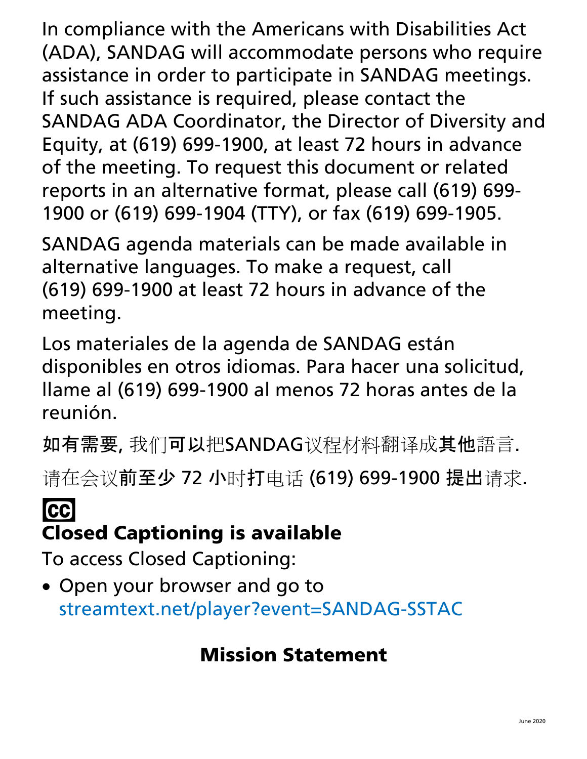In compliance with the Americans with Disabilities Act (ADA), SANDAG will accommodate persons who require assistance in order to participate in SANDAG meetings. If such assistance is required, please contact the SANDAG ADA Coordinator, the Director of Diversity and Equity, at (619) 699-1900, at least 72 hours in advance of the meeting. To request this document or related reports in an alternative format, please call (619) 699- 1900 or (619) 699-1904 (TTY), or fax (619) 699-1905.

SANDAG agenda materials can be made available in alternative languages. To make a request, call (619) 699-1900 at least 72 hours in advance of the meeting.

Los materiales de la agenda de SANDAG están disponibles en otros idiomas. Para hacer una solicitud, llame al (619) 699-1900 al menos 72 horas antes de la reunión.

如有需要, 我们可以把SANDAG议程材料翻译成其他語言.

请在会议前至少 72 小时打电话 (619) 699-1900 提出请求.

# **CC** Closed Captioning is available

To access Closed Captioning:

• Open your browser and go to [streamtext.net/player?event=SANDAG-SSTAC](https://www.streamtext.net/player?event=SANDAG-SSTAC)

# Mission Statement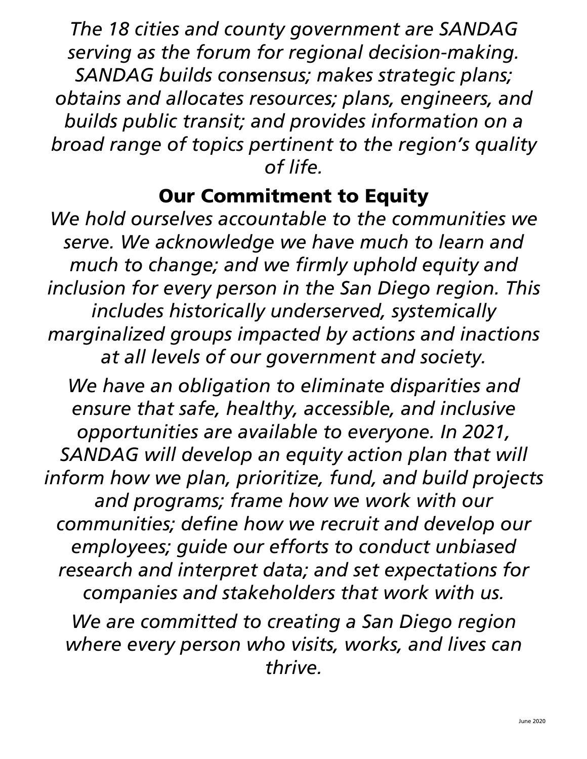*The 18 cities and county government are SANDAG serving as the forum for regional decision-making. SANDAG builds consensus; makes strategic plans; obtains and allocates resources; plans, engineers, and builds public transit; and provides information on a broad range of topics pertinent to the region's quality of life.*

### Our Commitment to Equity

*We hold ourselves accountable to the communities we serve. We acknowledge we have much to learn and much to change; and we firmly uphold equity and inclusion for every person in the San Diego region. This includes historically underserved, systemically marginalized groups impacted by actions and inactions at all levels of our government and society.*

*We have an obligation to eliminate disparities and ensure that safe, healthy, accessible, and inclusive opportunities are available to everyone. In 2021, SANDAG will develop an equity action plan that will inform how we plan, prioritize, fund, and build projects and programs; frame how we work with our communities; define how we recruit and develop our employees; guide our efforts to conduct unbiased research and interpret data; and set expectations for companies and stakeholders that work with us.*

*We are committed to creating a San Diego region where every person who visits, works, and lives can thrive.*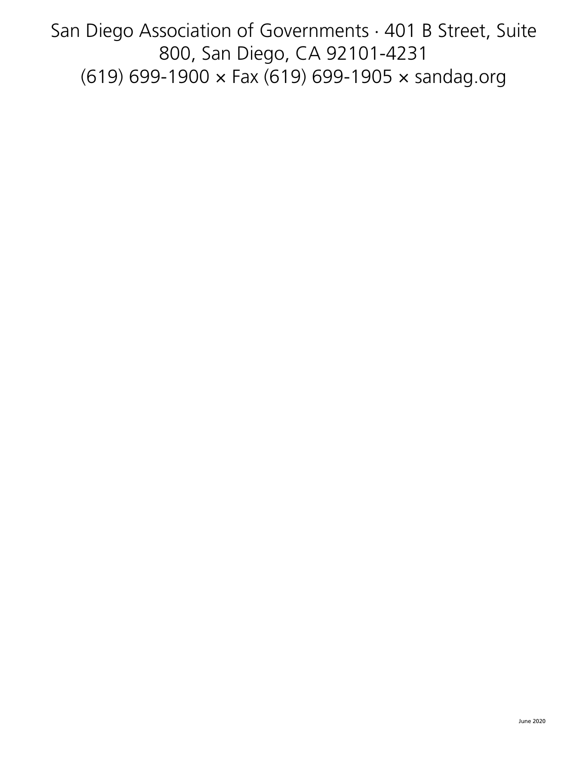San Diego Association of Governments · 401 B Street, Suite 800, San Diego, CA 92101-4231 (619) 699-1900 × Fax (619) 699-1905 × sandag.org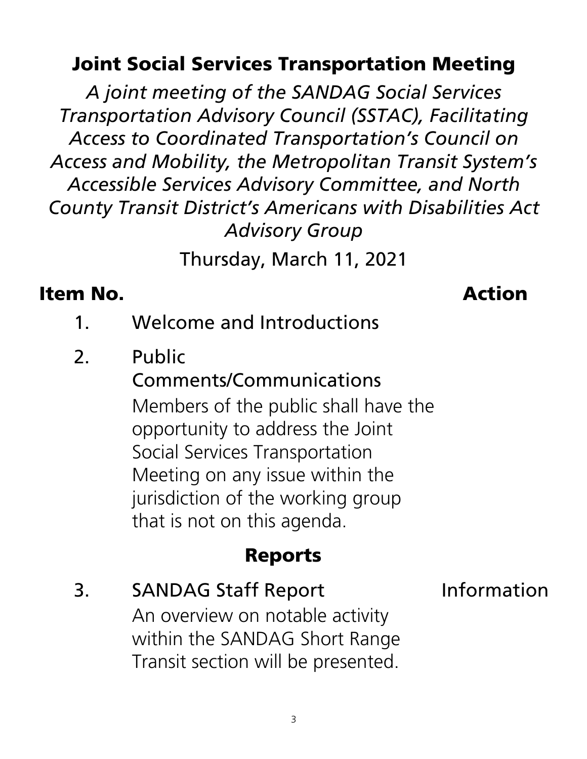### Joint Social Services Transportation Meeting

*A joint meeting of the SANDAG Social Services Transportation Advisory Council (SSTAC), Facilitating Access to Coordinated Transportation's Council on Access and Mobility, the Metropolitan Transit System's Accessible Services Advisory Committee, and North County Transit District's Americans with Disabilities Act Advisory Group*

Thursday, March 11, 2021

### Item No. Action

- 1. Welcome and Introductions
- 2. Public

### Comments/Communications

Members of the public shall have the opportunity to address the Joint Social Services Transportation Meeting on any issue within the jurisdiction of the working group that is not on this agenda.

### Reports

3. SANDAG Staff Report 1nformation An overview on notable activity within the SANDAG Short Range Transit section will be presented.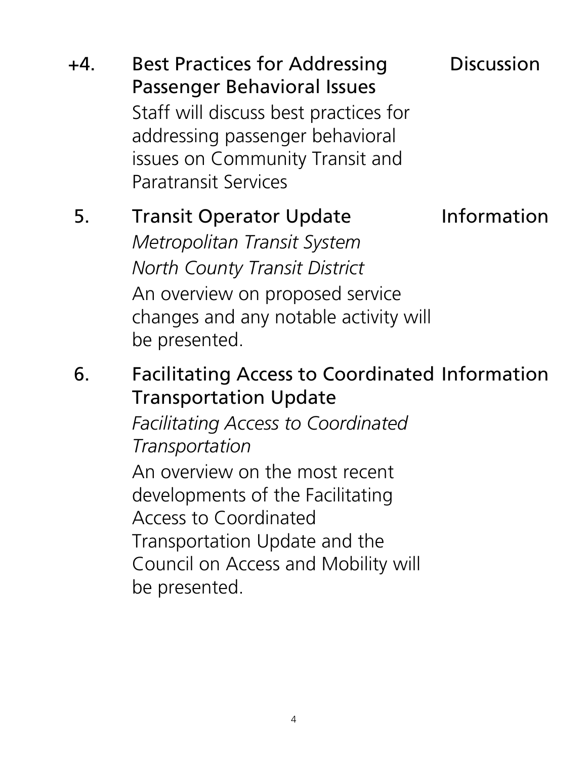+4. Best Practices for Addressing Passenger Behavioral Issues Discussion Staff will discuss best practices for addressing passenger behavioral issues on Community Transit and Paratransit Services

### 5. Transit Operator Update

Information

*Metropolitan Transit System North County Transit District* An overview on proposed service changes and any notable activity will be presented.

6. Facilitating Access to Coordinated Information Transportation Update

> *Facilitating Access to Coordinated Transportation*

An overview on the most recent developments of the Facilitating Access to Coordinated Transportation Update and the Council on Access and Mobility will be presented.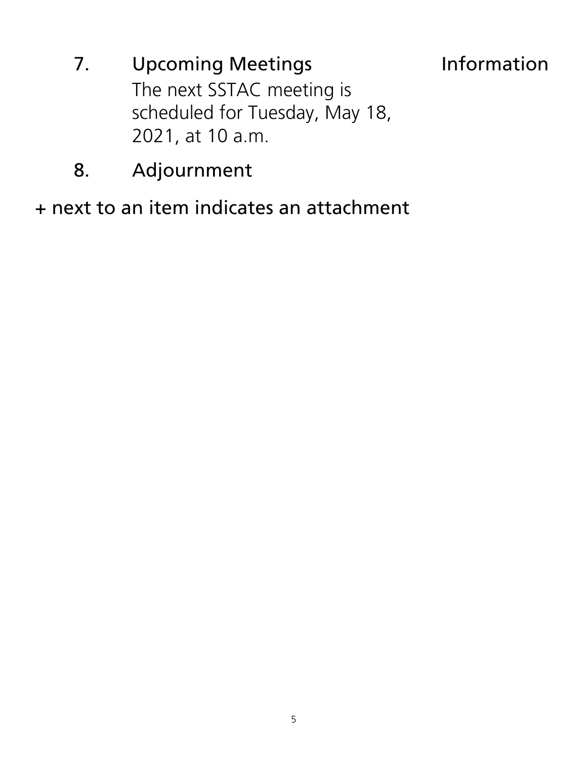- 7. Upcoming Meetings **Information** The next SSTAC meeting is scheduled for Tuesday, May 18, 2021, at 10 a.m.
- 8. Adjournment

+ next to an item indicates an attachment